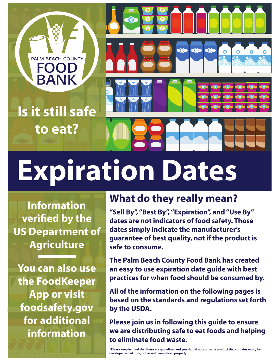

**Information verified by the US Department of Agriculture**

**You can also use the FoodKeeper App or visit foodsafety.gov for additional information**

#### **What do they really mean?**

**"Sell By", "Best By", "Expiration", and "Use By" dates are not indicators of food safety. Those dates simply indicate the manufacturer's guarantee of best quality, not if the product is safe to consume.**

**The Palm Beach County Food Bank has created an easy to use expiration date guide with best practices for when food should be consumed by.**

**All of the information on the following pages is based on the standards and regulations set forth by the USDA.**

**Please join us in following this guide to ensure we are distributing safe to eat foods and helping to eliminate food waste.**

**\*Please keep in mind that these are guidelines and you should not consume product that contains mold, has developed a bad odor, or has not been stored properly.**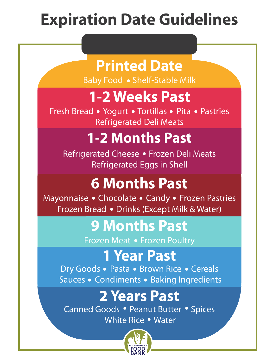# **Expiration Date Guidelines**

#### **Printed Date**

**Baby Food • Shelf-Stable Milk** 

## **1-2 Weeks Past**

**Fresh Bread • Yogurt • Tortillas • Pita • Pastries** Refrigerated Deli Meats

## **1-2 Months Past 1-2 Months Past**

Refrigerated Cheese • Frozen Deli Meats Refrigerated Eggs in Shell

## **6 Months Past**

**Mayonnaise • Chocolate • Candy • Frozen Pastries • Chocolate • Candy • Frozen Pastries •** omitaise • Chocolate • Candy • Frozen Fast<br>Frozen Bread • Drinks (Except Milk & Water)

#### **9 Months Past**

**Frozen Meat • Frozen Poultry** 

### **1 Year Past**

**Dry Goods • Pasta • Brown Rice • Cereals** Sauces Condiments Baking Ingredients **. .**

## **2 Years Past**

**CALS FOST**<br>Canned Goods • Peanut Butter • Spices **DOGS • Peanut Buttellie**<br>White Rice • Water